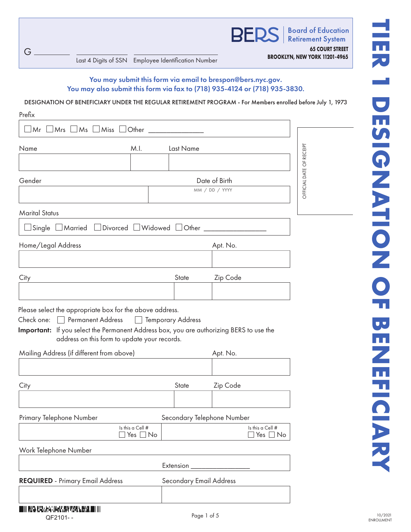**BER** 

**Board of Education Retirement System 65 COURT STREET**

**BROOKLYN, NEW YORK 11201-4965** Last 4 Digits of SSN Employee Identification Number

G

# You may submit this form via email to brespon@bers.nyc.gov. You may also submit this form via fax to (718) 935-4124 or (718) 935-3830.

DESIGNATION OF BENEFICIARY UNDER THE REGULAR RETIREMENT PROGRAM - For Members enrolled before July 1, 1973

| Prefix                                                                                                                                                                                                                                |               |                         |                            |                                   |  |
|---------------------------------------------------------------------------------------------------------------------------------------------------------------------------------------------------------------------------------------|---------------|-------------------------|----------------------------|-----------------------------------|--|
| $Mr \perp Mrs \perp Ms \perp Miss \perp Other$                                                                                                                                                                                        |               |                         |                            |                                   |  |
| Name<br>M.I.                                                                                                                                                                                                                          |               | Last Name               |                            |                                   |  |
|                                                                                                                                                                                                                                       |               |                         |                            |                                   |  |
| Gender                                                                                                                                                                                                                                |               |                         | Date of Birth              |                                   |  |
|                                                                                                                                                                                                                                       |               |                         | MM / DD / YYYY             |                                   |  |
| <b>Marital Status</b>                                                                                                                                                                                                                 |               |                         |                            |                                   |  |
| Single <i>Narried Divorced UWidowed DOther</i> ___________________                                                                                                                                                                    |               |                         |                            |                                   |  |
| Home/Legal Address                                                                                                                                                                                                                    |               |                         | Apt. No.                   |                                   |  |
|                                                                                                                                                                                                                                       |               |                         |                            |                                   |  |
| City                                                                                                                                                                                                                                  |               | State                   | Zip Code                   |                                   |  |
|                                                                                                                                                                                                                                       |               |                         |                            |                                   |  |
| Please select the appropriate box for the above address.<br>Check one:   Permanent Address<br>Important: If you select the Permanent Address box, you are authorizing BERS to use the<br>address on this form to update your records. |               | □ Temporary Address     |                            |                                   |  |
| Mailing Address (if different from above)                                                                                                                                                                                             |               |                         | Apt. No.                   |                                   |  |
| City                                                                                                                                                                                                                                  |               | State                   | Zip Code                   |                                   |  |
| Primary Telephone Number                                                                                                                                                                                                              |               |                         | Secondary Telephone Number |                                   |  |
| Is this a Cell #                                                                                                                                                                                                                      | Yes $\Box$ No |                         |                            | Is this a Cell #<br>Yes $\Box$ No |  |
| Work Telephone Number                                                                                                                                                                                                                 |               |                         |                            |                                   |  |
|                                                                                                                                                                                                                                       |               | Extension               |                            |                                   |  |
| <b>REQUIRED</b> - Primary Email Address                                                                                                                                                                                               |               | Secondary Email Address |                            |                                   |  |
|                                                                                                                                                                                                                                       |               |                         |                            |                                   |  |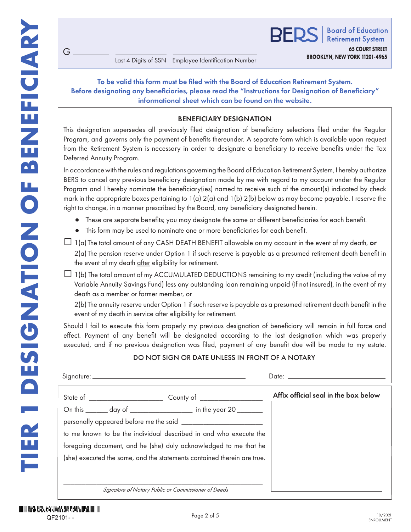G

**BROOKLYN, NEW YORK 11201-4965** Last 4 Digits of SSN Employee Identification Number

# To be valid this form must be filed with the Board of Education Retirement System. Before designating any beneficiaries, please read the "Instructions for Designation of Beneficiary" informational sheet which can be found on the website.

## BENEFICIARY DESIGNATION

This designation supersedes all previously filed designation of beneficiary selections filed under the Regular Program, and governs only the payment of benefits thereunder. A separate form which is available upon request from the Retirement System is necessary in order to designate a beneficiary to receive benefits under the Tax Deferred Annuity Program.

In accordance with the rules and regulations governing the Board of Education Retirement System, I hereby authorize BERS to cancel any previous beneficiary designation made by me with regard to my account under the Regular Program and I hereby nominate the beneficiary(ies) named to receive such of the amount(s) indicated by check mark in the appropriate boxes pertaining to  $1(a) 2(a)$  and  $1(b) 2(b)$  below as may become payable. I reserve the right to change, in a manner prescribed by the Board, any beneficiary designated herein.

- These are separate benefits; you may designate the same or different beneficiaries for each benefit.
- This form may be used to nominate one or more beneficiaries for each benefit.
- $\Box$  1(a) The total amount of any CASH DEATH BENEFIT allowable on my account in the event of my death, or 2(a) The pension reserve under Option 1 if such reserve is payable as a presumed retirement death benefit in the event of my death after eligibility for retirement.
- $\Box$  1(b) The total amount of my ACCUMULATED DEDUCTIONS remaining to my credit (including the value of my Variable Annuity Savings Fund) less any outstanding loan remaining unpaid (if not insured), in the event of my death as a member or former member, or

2(b) The annuity reserve under Option 1 if such reserve is payable as a presumed retirement death benefit in the event of my death in service after eligibility for retirement.

Should I fail to execute this form properly my previous designation of beneficiary will remain in full force and effect. Payment of any benefit will be designated according to the last designation which was properly executed, and if no previous designation was filed, payment of any benefit due will be made to my estate.

# DO NOT SIGN OR DATE UNLESS IN FRONT OF A NOTARY

|                                                                         | Affix official seal in the box below |
|-------------------------------------------------------------------------|--------------------------------------|
| On this _______ day of ____________________ in the year 20 ________     |                                      |
|                                                                         |                                      |
| to me known to be the individual described in and who execute the       |                                      |
| foregoing document, and he (she) duly acknowledged to me that he        |                                      |
| (she) executed the same, and the statements contained therein are true. |                                      |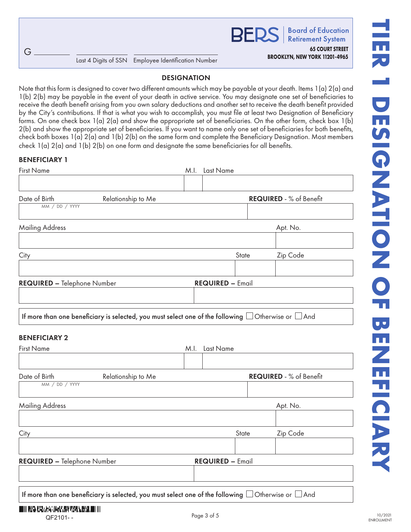**Board of Education RFDS Retirement System** 

**65 COURT STREET**

## DESIGNATION

Note that this form is designed to cover two different amounts which may be payable at your death. Items 1(a) 2(a) and 1(b) 2(b) may be payable in the event of your death in active service. You may designate one set of beneficiaries to receive the death benefit arising from you own salary deductions and another set to receive the death benefit provided by the City's contributions. If that is what you wish to accomplish, you must file at least two Designation of Beneficiary forms. On one check box 1(a) 2(a) and show the appropriate set of beneficiaries. On the other form, check box 1(b) 2(b) and show the appropriate set of beneficiaries. If you want to name only one set of beneficiaries for both benefits, check both boxes 1(a) 2(a) and 1(b) 2(b) on the same form and complete the Beneficiary Designation. Most members check 1(a) 2(a) and 1(b) 2(b) on one form and designate the same beneficiaries for all benefits.

## BENEFICIARY 1

G

| <b>First Name</b>                                                                                                                                          |      | M.I. Last Name          |          |                         |
|------------------------------------------------------------------------------------------------------------------------------------------------------------|------|-------------------------|----------|-------------------------|
|                                                                                                                                                            |      |                         |          |                         |
| Date of Birth<br>Relationship to Me<br>MM / DD / YYYY                                                                                                      |      |                         |          | REQUIRED - % of Benefit |
| <b>Mailing Address</b>                                                                                                                                     |      |                         |          | Apt. No.                |
| City                                                                                                                                                       |      |                         | State    | Zip Code                |
| REQUIRED - Telephone Number                                                                                                                                |      | <b>REQUIRED - Email</b> |          |                         |
| If more than one beneficiary is selected, you must select one of the following $\Box$ Otherwise or $\Box$ And<br><b>BENEFICIARY 2</b><br><b>First Name</b> | M.I. | Last Name               |          |                         |
|                                                                                                                                                            |      |                         |          |                         |
| Date of Birth<br>Relationship to Me<br>MM / DD / YYYY                                                                                                      |      |                         |          | REQUIRED - % of Benefit |
| <b>Mailing Address</b>                                                                                                                                     |      |                         | Apt. No. |                         |
| City                                                                                                                                                       |      |                         | State    | Zip Code                |
| REQUIRED - Telephone Number                                                                                                                                |      | <b>REQUIRED - Email</b> |          |                         |
| If more than one beneficiary is selected, you must select one of the following $\Box$ Otherwise or $\Box$ And                                              |      |                         |          |                         |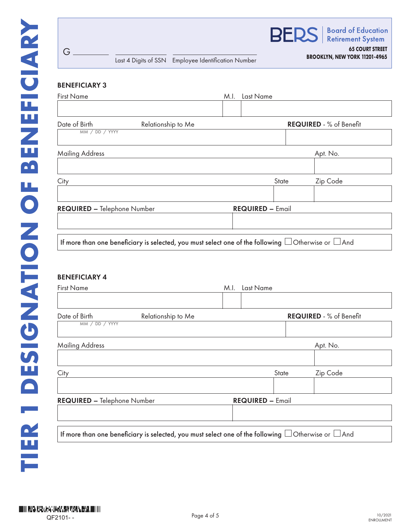

# BENEFICIARY 4

| <b>First Name</b>                  |                                                                                                               | M.I. | Last Name               |                                |
|------------------------------------|---------------------------------------------------------------------------------------------------------------|------|-------------------------|--------------------------------|
| Date of Birth<br>MM / DD / YYYY    | Relationship to Me                                                                                            |      |                         | <b>REQUIRED - % of Benefit</b> |
| <b>Mailing Address</b>             |                                                                                                               |      |                         | Apt. No.                       |
| City                               |                                                                                                               |      | State                   | Zip Code                       |
| <b>REQUIRED - Telephone Number</b> |                                                                                                               |      | <b>REQUIRED - Email</b> |                                |
|                                    | If more than one beneficiary is selected, you must select one of the following $\Box$ Otherwise or $\Box$ And |      |                         |                                |